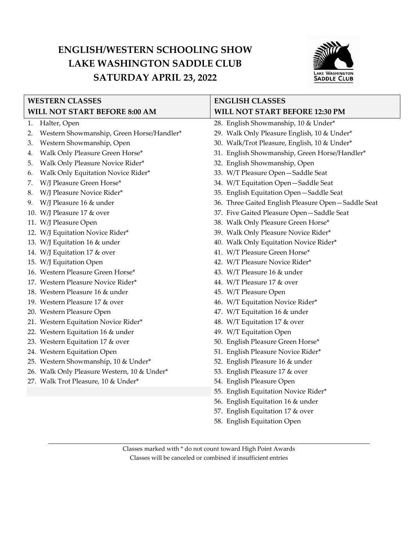## **ENGLISH/WESTERN SCHOOLING SHOW LAKE WASHINGTON SADDLE CLUB SATURDAY APRIL 23, 2022**



| <b>WESTERN CLASSES</b>        |                                             | <b>ENGLISH CLASSES</b>                             |
|-------------------------------|---------------------------------------------|----------------------------------------------------|
| WILL NOT START BEFORE 8:00 AM |                                             | WILL NOT START BEFORE 12:30 PM                     |
| 1.                            | Halter, Open                                | 28. English Showmanship, 10 & Under*               |
| 2.                            | Western Showmanship, Green Horse/Handler*   | 29. Walk Only Pleasure English, 10 & Under*        |
| З.                            | Western Showmanship, Open                   | 30. Walk/Trot Pleasure, English, 10 & Under*       |
| 4.                            | Walk Only Pleasure Green Horse*             | 31. English Showmanship, Green Horse/Handler*      |
| 5.                            | Walk Only Pleasure Novice Rider*            | 32. English Showmanship, Open                      |
| 6.                            | Walk Only Equitation Novice Rider*          | 33. W/T Pleasure Open-Saddle Seat                  |
| 7.                            | W/J Pleasure Green Horse*                   | 34. W/T Equitation Open-Saddle Seat                |
| 8.                            | W/J Pleasure Novice Rider*                  | 35. English Equitation Open-Saddle Seat            |
| 9.                            | W/J Pleasure 16 & under                     | 36. Three Gaited English Pleasure Open-Saddle Seat |
|                               | 10. W/J Pleasure 17 & over                  | 37. Five Gaited Pleasure Open-Saddle Seat          |
|                               | 11. W/J Pleasure Open                       | 38. Walk Only Pleasure Green Horse*                |
|                               | 12. W/J Equitation Novice Rider*            | 39. Walk Only Pleasure Novice Rider*               |
|                               | 13. W/J Equitation 16 & under               | 40. Walk Only Equitation Novice Rider*             |
|                               | 14. W/J Equitation 17 & over                | 41. W/T Pleasure Green Horse*                      |
|                               | 15. W/J Equitation Open                     | 42. W/T Pleasure Novice Rider*                     |
|                               | 16. Western Pleasure Green Horse*           | 43. W/T Pleasure 16 & under                        |
|                               | 17. Western Pleasure Novice Rider*          | 44. W/T Pleasure 17 & over                         |
|                               | 18. Western Pleasure 16 & under             | 45. W/T Pleasure Open                              |
|                               | 19. Western Pleasure 17 & over              | 46. W/T Equitation Novice Rider*                   |
|                               | 20. Western Pleasure Open                   | 47. W/T Equitation 16 & under                      |
|                               | 21. Western Equitation Novice Rider*        | 48. W/T Equitation 17 & over                       |
|                               | 22. Western Equitation 16 & under           | 49. W/T Equitation Open                            |
|                               | 23. Western Equitation 17 & over            | 50. English Pleasure Green Horse*                  |
|                               | 24. Western Equitation Open                 | 51. English Pleasure Novice Rider*                 |
|                               | 25. Western Showmanship, 10 & Under*        | 52. English Pleasure 16 & under                    |
|                               | 26. Walk Only Pleasure Western, 10 & Under* | 53. English Pleasure 17 & over                     |
|                               | 27. Walk Trot Pleasure, 10 & Under*         | 54. English Pleasure Open                          |
|                               |                                             | 55. English Equitation Novice Rider*               |
|                               |                                             | 56. English Equitation 16 & under                  |
|                               |                                             | 57. English Equitation 17 & over                   |
|                               |                                             | 58. English Equitation Open                        |